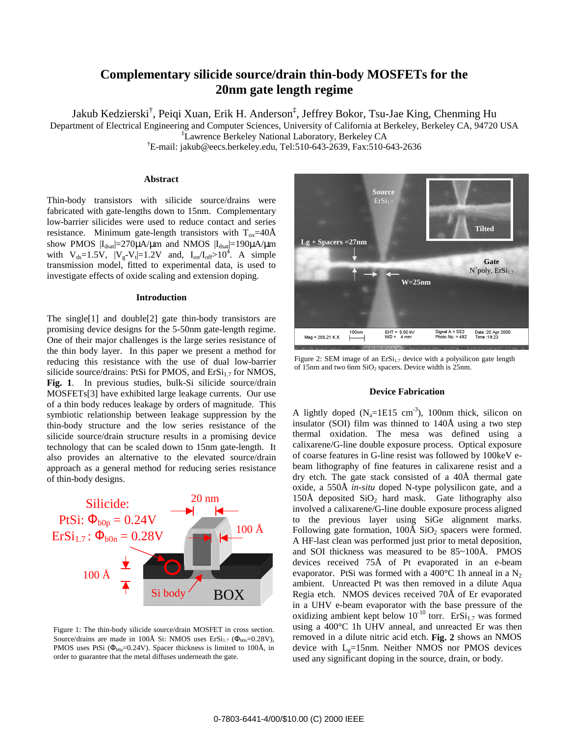# **Complementary silicide source/drain thin-body MOSFETs for the 20nm gate length regime**

Jakub Kedzierski† , Peiqi Xuan, Erik H. Anderson‡ , Jeffrey Bokor, Tsu-Jae King, Chenming Hu

Department of Electrical Engineering and Computer Sciences, University of California at Berkeley, Berkeley CA, 94720 USA

‡ Lawrence Berkeley National Laboratory, Berkeley CA

† E-mail: jakub@eecs.berkeley.edu, Tel:510-643-2639, Fax:510-643-2636

## **Abstract**

Thin-body transistors with silicide source/drains were fabricated with gate-lengths down to 15nm. Complementary low-barrier silicides were used to reduce contact and series resistance. Minimum gate-length transistors with  $T_{ox} = 40\text{\AA}$ show PMOS  $|I_{dsat}|=270\mu A/\mu m$  and NMOS  $|I_{dsat}|=190\mu A/\mu m$ with  $V_{ds} = 1.5V$ ,  $|V_g - V_t| = 1.2V$  and,  $I_{on}/I_{off} > 10^4$ . A simple transmission model, fitted to experimental data, is used to investigate effects of oxide scaling and extension doping.

### **Introduction**

The single[1] and double[2] gate thin-body transistors are promising device designs for the 5-50nm gate-length regime. One of their major challenges is the large series resistance of the thin body layer. In this paper we present a method for reducing this resistance with the use of dual low-barrier silicide source/drains: PtSi for PMOS, and  $E_rS_{1,7}$  for NMOS, **Fig. 1**. In previous studies, bulk-Si silicide source/drain MOSFETs[3] have exhibited large leakage currents. Our use of a thin body reduces leakage by orders of magnitude. This symbiotic relationship between leakage suppression by the thin-body structure and the low series resistance of the silicide source/drain structure results in a promising device technology that can be scaled down to 15nm gate-length. It also provides an alternative to the elevated source/drain approach as a general method for reducing series resistance of thin-body designs.



Figure 1: The thin-body silicide source/drain MOSFET in cross section. Source/drains are made in 100Å Si: NMOS uses  $Ersi_{1.7}$  ( $\Phi_{b0n}$ =0.28V), PMOS uses PtSi ( $\Phi_{b0p}$ =0.24V). Spacer thickness is limited to 100Å, in order to guarantee that the metal diffuses underneath the gate.



Figure 2: SEM image of an  $E.Si_{1.7}$  device with a polysilicon gate length of 15nm and two 6nm SiO<sub>2</sub> spacers. Device width is 25nm.

## **Device Fabrication**

A lightly doped  $(N_a=1E15 \text{ cm}^{-3})$ , 100nm thick, silicon on insulator (SOI) film was thinned to 140Å using a two step thermal oxidation. The mesa was defined using a calixarene/G-line double exposure process. Optical exposure of coarse features in G-line resist was followed by 100keV ebeam lithography of fine features in calixarene resist and a dry etch. The gate stack consisted of a 40Å thermal gate oxide, a 550Å *in-situ* doped N-type polysilicon gate, and a 150Å deposited  $SiO<sub>2</sub>$  hard mask. Gate lithography also involved a calixarene/G-line double exposure process aligned to the previous layer using SiGe alignment marks. Following gate formation,  $100\text{\AA}$  SiO<sub>2</sub> spacers were formed. A HF-last clean was performed just prior to metal deposition, and SOI thickness was measured to be 85~100Å. PMOS devices received 75Å of Pt evaporated in an e-beam evaporator. PtSi was formed with a 400 $^{\circ}$ C 1h anneal in a N<sub>2</sub> ambient. Unreacted Pt was then removed in a dilute Aqua Regia etch. NMOS devices received 70Å of Er evaporated in a UHV e-beam evaporator with the base pressure of the oxidizing ambient kept below  $10^{-10}$  torr. ErSi<sub>1.7</sub> was formed using a 400°C 1h UHV anneal, and unreacted Er was then removed in a dilute nitric acid etch. **Fig. 2** shows an NMOS device with  $L<sub>g</sub>=15$ nm. Neither NMOS nor PMOS devices used any significant doping in the source, drain, or body.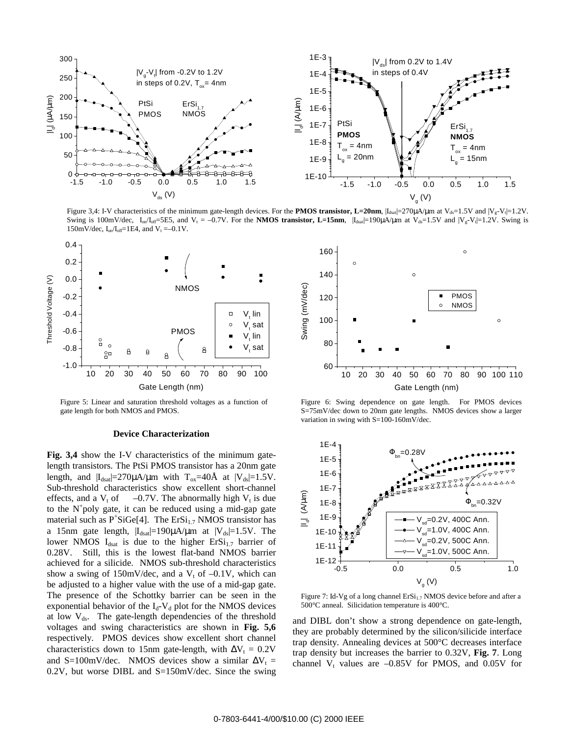

Figure 3,4: I-V characteristics of the minimum gate-length devices. For the **PMOS transistor, L=20nm**,  $|I_{dsat}|=270\mu$ A/ $\mu$ m at V<sub>ds</sub>=1.5V and  $|V_g-V_t|=1.2V$ . Swing is 100mV/dec,  $I_{on}/I_{off}=5E5$ , and  $V_t = -0.7V$ . For the **NMOS transistor, L=15nm**,  $|I_{dsal}=190\mu A/\mu$ m at  $V_{ds}=1.5V$  and  $|V_g-V_t|=1.2V$ . Swing is 150mV/dec,  $I_{on}/I_{off}=1E4$ , and  $V_t = -0.1V$ .



Figure 5: Linear and saturation threshold voltages as a function of gate length for both NMOS and PMOS.

### **Device Characterization**

**Fig. 3,4** show the I-V characteristics of the minimum gatelength transistors. The PtSi PMOS transistor has a 20nm gate length, and  $|I_{dsat}|=270\mu A/\mu m$  with  $T_{ox}=40\text{\AA}$  at  $|V_{ds}|=1.5V$ . Sub-threshold characteristics show excellent short-channel effects, and a  $V_t$  of  $-0.7V$ . The abnormally high  $V_t$  is due to the  $N^+$ poly gate, it can be reduced using a mid-gap gate material such as P<sup>+</sup>SiGe[4]. The ErSi<sub>1.7</sub> NMOS transistor has a 15nm gate length,  $|I_{dsat}|=190\mu A/\mu m$  at  $|V_{ds}|=1.5V$ . The lower NMOS  $I_{dsat}$  is due to the higher  $E.Si_{1,7}$  barrier of 0.28V. Still, this is the lowest flat-band NMOS barrier achieved for a silicide. NMOS sub-threshold characteristics show a swing of  $150 \text{mV/dec}$ , and a V<sub>t</sub> of  $-0.1 \text{V}$ , which can be adjusted to a higher value with the use of a mid-gap gate. The presence of the Schottky barrier can be seen in the exponential behavior of the  $I_d$ -V<sub>d</sub> plot for the NMOS devices at low  $V_{ds}$ . The gate-length dependencies of the threshold voltages and swing characteristics are shown in **Fig. 5,6** respectively. PMOS devices show excellent short channel characteristics down to 15nm gate-length, with  $\Delta V_t = 0.2V$ and S=100mV/dec. NMOS devices show a similar  $\Delta V_t$  = 0.2V, but worse DIBL and S=150mV/dec. Since the swing



Figure 6: Swing dependence on gate length. For PMOS devices S=75mV/dec down to 20nm gate lengths. NMOS devices show a larger variation in swing with S=100-160mV/dec.



Figure 7: Id-Vg of a long channel  $E.Si_{1,7}$  NMOS device before and after a 500°C anneal. Silicidation temperature is 400°C.

and DIBL don't show a strong dependence on gate-length, they are probably determined by the silicon/silicide interface trap density. Annealing devices at 500°C decreases interface trap density but increases the barrier to 0.32V, **Fig. 7**. Long channel  $V_t$  values are  $-0.85V$  for PMOS, and 0.05V for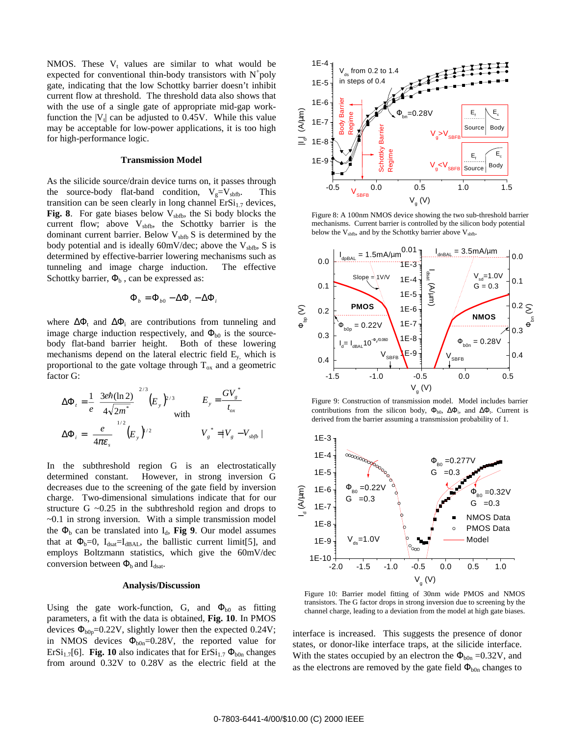NMOS. These  $V_t$  values are similar to what would be expected for conventional thin-body transistors with  $N^+$ poly gate, indicating that the low Schottky barrier doesn't inhibit current flow at threshold. The threshold data also shows that with the use of a single gate of appropriate mid-gap workfunction the  $|V_t|$  can be adjusted to 0.45V. While this value may be acceptable for low-power applications, it is too high for high-performance logic.

#### **Transmission Model**

As the silicide source/drain device turns on, it passes through the source-body flat-band condition,  $V_g=V_{\text{sbfb}}$ . This transition can be seen clearly in long channel  $Ersi_{1.7}$  devices, **Fig. 8**. For gate biases below  $V_{\text{sbf}}$ , the Si body blocks the current flow; above  $V<sub>sbfb</sub>$ , the Schottky barrier is the dominant current barrier. Below  $V_{\text{sbfb}} S$  is determined by the body potential and is ideally 60mV/dec; above the  $V_{\text{sbfb}}$ , S is determined by effective-barrier lowering mechanisms such as tunneling and image charge induction. The effective Schottky barrier,  $\Phi_b$ , can be expressed as:

$$
\Phi_b = \Phi_{b0} - \Delta \Phi_t - \Delta \Phi_i
$$

where  $\Delta \Phi_t$  and  $\Delta \Phi_i$  are contributions from tunneling and image charge induction respectively, and  $\Phi_{b0}$  is the sourcebody flat-band barrier height. Both of these lowering mechanisms depend on the lateral electric field  $E_y$ , which is proportional to the gate voltage through  $T_{ox}$  and a geometric factor G:

$$
\Delta \Phi_t = \frac{1}{e} \left( \frac{3e\hbar (\ln 2)}{4\sqrt{2m^*}} \right)^{2/3} (E_y)^{2/3} \qquad E_y = \frac{GV_s^*}{t_{ox}}
$$

$$
\Delta \Phi_i = \left( \frac{e}{4\pi \varepsilon_s} \right)^{1/2} (E_y)^{1/2} \qquad V_g^* = |V_g - V_{sbb}|\n\end{cases}
$$

In the subthreshold region G is an electrostatically determined constant. However, in strong inversion G decreases due to the screening of the gate field by inversion charge. Two-dimensional simulations indicate that for our structure G  $\sim$ 0.25 in the subthreshold region and drops to  $\sim$ 0.1 in strong inversion. With a simple transmission model the  $\Phi_b$  can be translated into  $I_d$ , **Fig 9**. Our model assumes that at  $\Phi_b=0$ ,  $I_{dsat}=I_{dBAL}$ , the ballistic current limit[5], and employs Boltzmann statistics, which give the 60mV/dec conversion between  $\Phi_b$  and  $I_{dsat}$ .

#### **Analysis/Discussion**

Using the gate work-function, G, and  $\Phi_{b0}$  as fitting parameters, a fit with the data is obtained, **Fig. 10**. In PMOS devices  $\Phi_{b0p}$ =0.22V, slightly lower then the expected 0.24V; in NMOS devices  $\Phi_{\text{bon}}=0.28V$ , the reported value for ErSi<sub>1.7</sub>[6]. **Fig. 10** also indicates that for ErSi<sub>1.7</sub>  $\Phi_{b0n}$  changes from around 0.32V to 0.28V as the electric field at the



Figure 8: A 100nm NMOS device showing the two sub-threshold barrier mechanisms. Current barrier is controlled by the silicon body potential below the  $V_{\text{sbfb}}$ , and by the Schottky barrier above  $V_{\text{sbfb}}$ .



Figure 9: Construction of transmission model. Model includes barrier contributions from the silicon body,  $\Phi_{b0}$ ,  $\Delta\Phi_i$ , and  $\Delta\Phi_i$ . Current is derived from the barrier assuming a transmission probability of 1.



Figure 10: Barrier model fitting of 30nm wide PMOS and NMOS transistors. The G factor drops in strong inversion due to screening by the channel charge, leading to a deviation from the model at high gate biases.

interface is increased. This suggests the presence of donor states, or donor-like interface traps, at the silicide interface. With the states occupied by an electron the  $\Phi_{b0n} = 0.32V$ , and as the electrons are removed by the gate field  $\Phi_{b0n}$  changes to